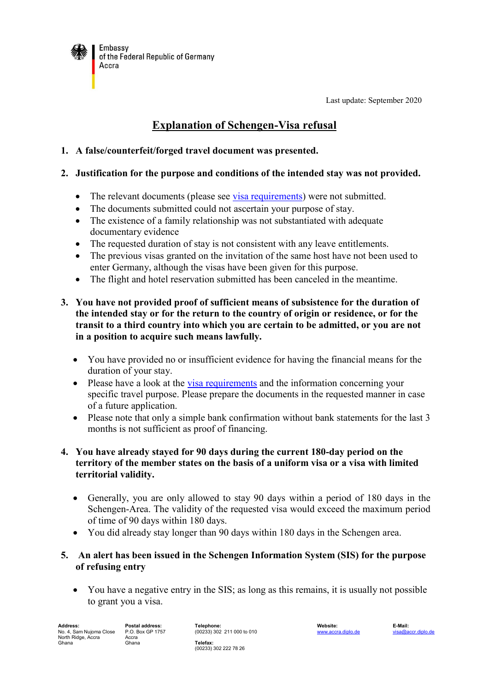

Last update: September 2020

# **Explanation of Schengen-Visa refusal**

## **1. A false/counterfeit/forged travel document was presented.**

#### **2. Justification for the purpose and conditions of the intended stay was not provided.**

- The relevant documents (please see [visa requirements\)](http://www.accra.diplo.de/contentblob/3500650/Daten/5377908/Schengen_airport_transit_visa_requirements_en_dld.pdf) were not submitted.
- The documents submitted could not ascertain your purpose of stay.
- The existence of a family relationship was not substantiated with adequate documentary evidence
- The requested duration of stay is not consistent with any leave entitlements.
- The previous visas granted on the invitation of the same host have not been used to enter Germany, although the visas have been given for this purpose.
- The flight and hotel reservation submitted has been canceled in the meantime.
- **3. You have not provided proof of sufficient means of subsistence for the duration of the intended stay or for the return to the country of origin or residence, or for the transit to a third country into which you are certain to be admitted, or you are not in a position to acquire such means lawfully.**
	- You have provided no or insufficient evidence for having the financial means for the duration of your stay.
	- Please have a look at the [visa requirements](http://www.accra.diplo.de/contentblob/3500650/Daten/5377908/Schengen_airport_transit_visa_requirements_en_dld.pdf) and the information concerning your specific travel purpose. Please prepare the documents in the requested manner in case of a future application.
	- Please note that only a simple bank confirmation without bank statements for the last 3 months is not sufficient as proof of financing.

## **4. You have already stayed for 90 days during the current 180-day period on the territory of the member states on the basis of a uniform visa or a visa with limited territorial validity.**

- Generally, you are only allowed to stay 90 days within a period of 180 days in the Schengen-Area. The validity of the requested visa would exceed the maximum period of time of 90 days within 180 days.
- You did already stay longer than 90 days within 180 days in the Schengen area.

# **5. An alert has been issued in the Schengen Information System (SIS) for the purpose of refusing entry**

 You have a negative entry in the SIS; as long as this remains, it is usually not possible to grant you a visa.

**Address: Postal address: Telephone: Website: E-Mail:** No. 4, Sam Nujoma Close North Ridge, Accra Ghana

P.O. Box GP 1757 Accra Ghana

(00233) 302 211 000 to 010 **Telefax:** (00233) 302 222 78 26